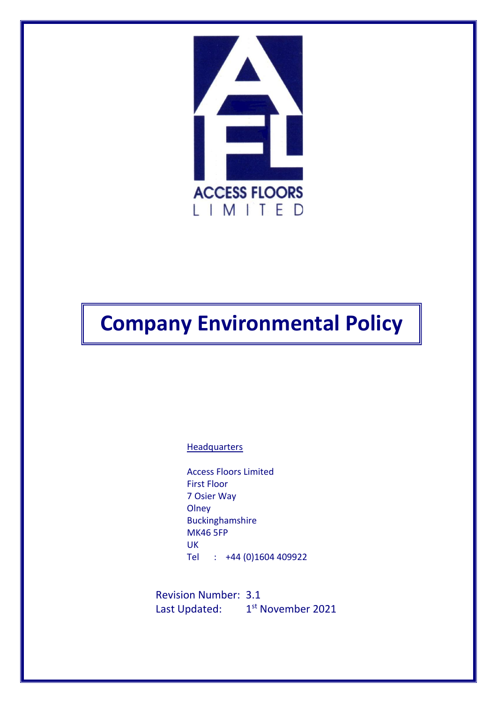

# **Company Environmental Policy**

**Headquarters** 

Access Floors Limited First Floor 7 Osier Way **Olney** Buckinghamshire MK46 5FP UK Tel : +44 (0)1604 409922

Revision Number: 3.1 Last Updated: 1<sup>st</sup> November 2021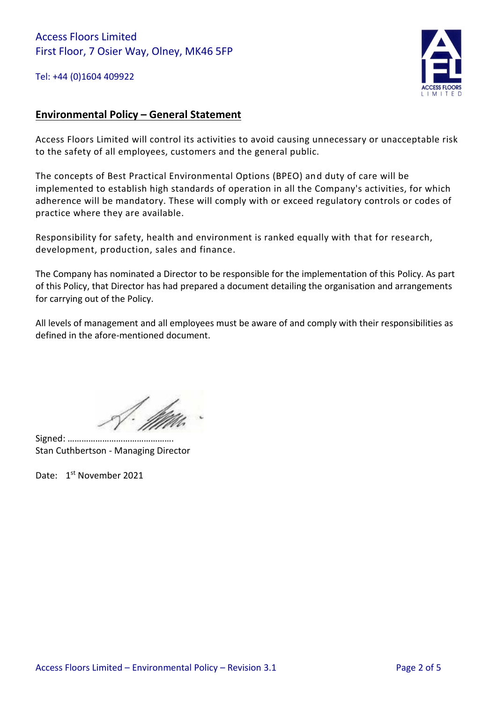## Access Floors Limited First Floor, 7 Osier Way, Olney, MK46 5FP

Tel: +44 (0)1604 409922



### **Environmental Policy – General Statement**

Access Floors Limited will control its activities to avoid causing unnecessary or unacceptable risk to the safety of all employees, customers and the general public.

The concepts of Best Practical Environmental Options (BPEO) and duty of care will be implemented to establish high standards of operation in all the Company's activities, for which adherence will be mandatory. These will comply with or exceed regulatory controls or codes of practice where they are available.

Responsibility for safety, health and environment is ranked equally with that for research, development, production, sales and finance.

The Company has nominated a Director to be responsible for the implementation of this Policy. As part of this Policy, that Director has had prepared a document detailing the organisation and arrangements for carrying out of the Policy.

All levels of management and all employees must be aware of and comply with their responsibilities as defined in the afore-mentioned document.

Signed: ………………………………………. Stan Cuthbertson - Managing Director

Date: 1<sup>st</sup> November 2021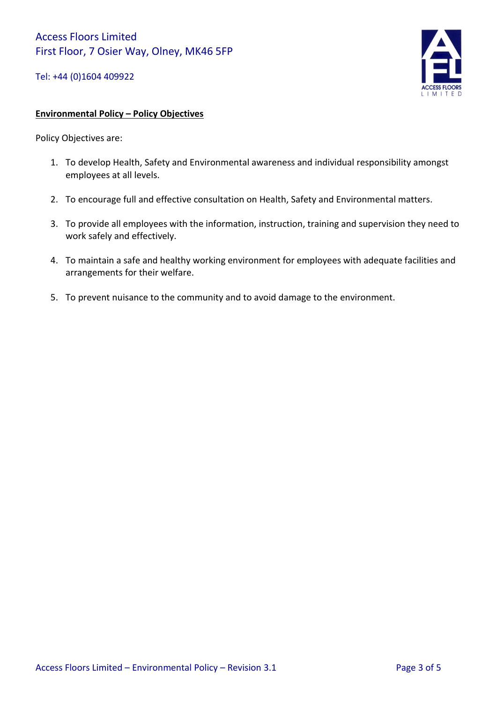Tel: +44 (0)1604 409922



#### **Environmental Policy – Policy Objectives**

Policy Objectives are:

- 1. To develop Health, Safety and Environmental awareness and individual responsibility amongst employees at all levels.
- 2. To encourage full and effective consultation on Health, Safety and Environmental matters.
- 3. To provide all employees with the information, instruction, training and supervision they need to work safely and effectively.
- 4. To maintain a safe and healthy working environment for employees with adequate facilities and arrangements for their welfare.
- 5. To prevent nuisance to the community and to avoid damage to the environment.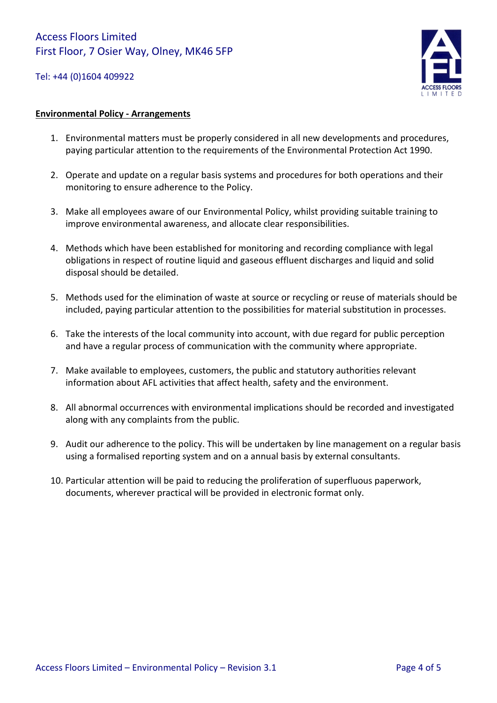#### Tel: +44 (0)1604 409922



#### **Environmental Policy - Arrangements**

- 1. Environmental matters must be properly considered in all new developments and procedures, paying particular attention to the requirements of the Environmental Protection Act 1990.
- 2. Operate and update on a regular basis systems and procedures for both operations and their monitoring to ensure adherence to the Policy.
- 3. Make all employees aware of our Environmental Policy, whilst providing suitable training to improve environmental awareness, and allocate clear responsibilities.
- 4. Methods which have been established for monitoring and recording compliance with legal obligations in respect of routine liquid and gaseous effluent discharges and liquid and solid disposal should be detailed.
- 5. Methods used for the elimination of waste at source or recycling or reuse of materials should be included, paying particular attention to the possibilities for material substitution in processes.
- 6. Take the interests of the local community into account, with due regard for public perception and have a regular process of communication with the community where appropriate.
- 7. Make available to employees, customers, the public and statutory authorities relevant information about AFL activities that affect health, safety and the environment.
- 8. All abnormal occurrences with environmental implications should be recorded and investigated along with any complaints from the public.
- 9. Audit our adherence to the policy. This will be undertaken by line management on a regular basis using a formalised reporting system and on a annual basis by external consultants.
- 10. Particular attention will be paid to reducing the proliferation of superfluous paperwork, documents, wherever practical will be provided in electronic format only.